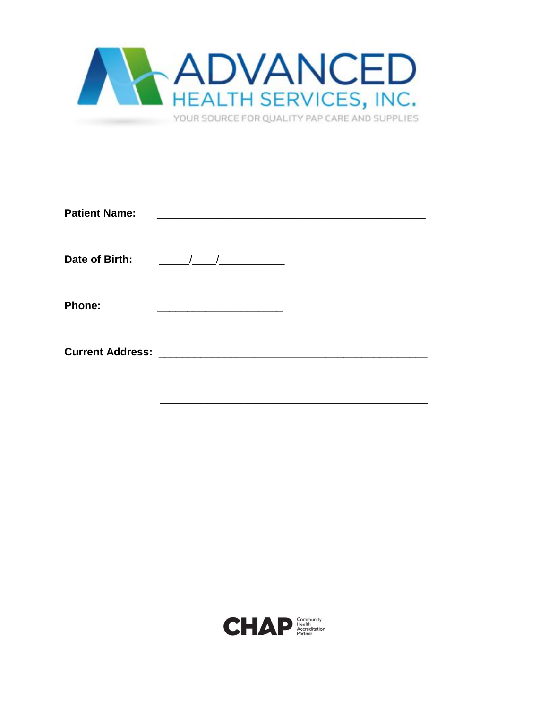

| <b>Patient Name:</b>    |                                                                                                                        |  |
|-------------------------|------------------------------------------------------------------------------------------------------------------------|--|
| Date of Birth:          | $\overline{1}$<br><u> 1989 - Andrea Sta</u>                                                                            |  |
| <b>Phone:</b>           | <u> 1980 - John Stein, mars and de Branch and de Branch and de Branch and de Branch and de Branch and de Branch an</u> |  |
| <b>Current Address:</b> |                                                                                                                        |  |

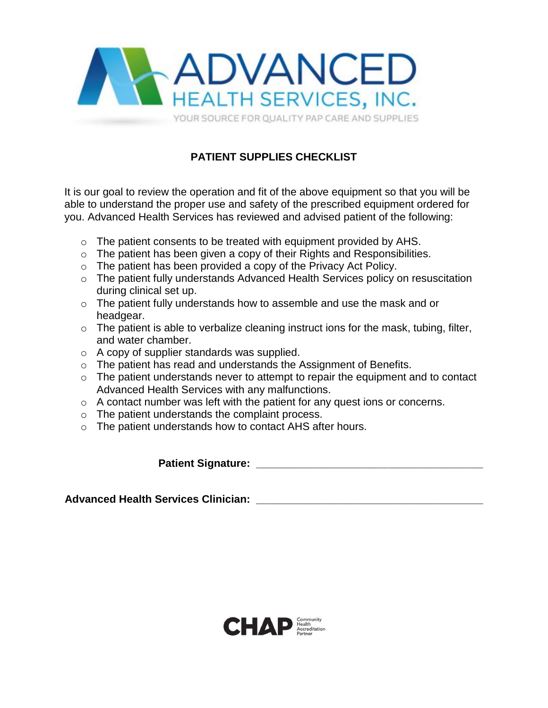

# **PATIENT SUPPLIES CHECKLIST**

It is our goal to review the operation and fit of the above equipment so that you will be able to understand the proper use and safety of the prescribed equipment ordered for you. Advanced Health Services has reviewed and advised patient of the following:

- o The patient consents to be treated with equipment provided by AHS.
- o The patient has been given a copy of their Rights and Responsibilities.
- o The patient has been provided a copy of the Privacy Act Policy.
- o The patient fully understands Advanced Health Services policy on resuscitation during clinical set up.
- o The patient fully understands how to assemble and use the mask and or headgear.
- $\circ$  The patient is able to verbalize cleaning instruct ions for the mask, tubing, filter, and water chamber.
- o A copy of supplier standards was supplied.
- o The patient has read and understands the Assignment of Benefits.
- $\circ$  The patient understands never to attempt to repair the equipment and to contact Advanced Health Services with any malfunctions.
- $\circ$  A contact number was left with the patient for any quest ions or concerns.
- o The patient understands the complaint process.
- o The patient understands how to contact AHS after hours.

**Patient Signature: Construction of the set of the set of the set of the set of the set of the set of the set of the set of the set of the set of the set of the set of the set of the set of the set of the set of the set** 

Advanced Health Services Clinician: **Advanced Health Services Clinician:** 

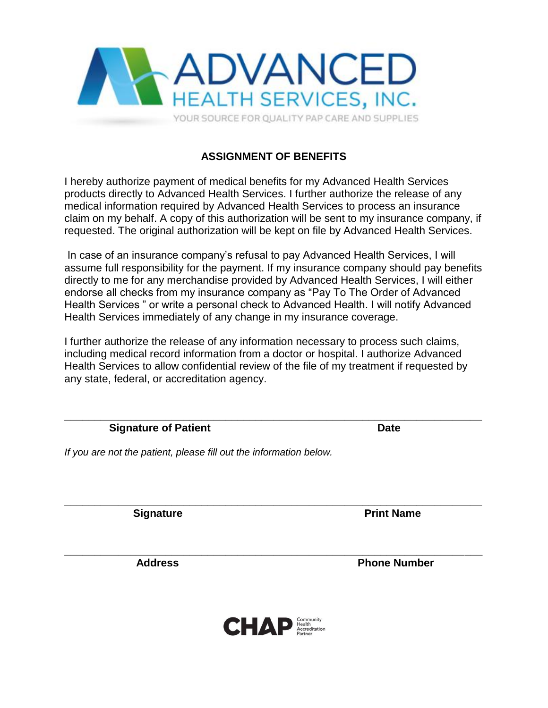

## **ASSIGNMENT OF BENEFITS**

I hereby authorize payment of medical benefits for my Advanced Health Services products directly to Advanced Health Services. I further authorize the release of any medical information required by Advanced Health Services to process an insurance claim on my behalf. A copy of this authorization will be sent to my insurance company, if requested. The original authorization will be kept on file by Advanced Health Services.

In case of an insurance company's refusal to pay Advanced Health Services, I will assume full responsibility for the payment. If my insurance company should pay benefits directly to me for any merchandise provided by Advanced Health Services, I will either endorse all checks from my insurance company as "Pay To The Order of Advanced Health Services " or write a personal check to Advanced Health. I will notify Advanced Health Services immediately of any change in my insurance coverage.

I further authorize the release of any information necessary to process such claims, including medical record information from a doctor or hospital. I authorize Advanced Health Services to allow confidential review of the file of my treatment if requested by any state, federal, or accreditation agency.

**Signature of Patient Community Community Community Community Community Community Community Community Community** 

*If you are not the patient, please fill out the information below.*

**Signature Print Name** 

Address **Phone Number** 



**\_\_\_\_\_\_\_\_\_\_\_\_\_\_\_\_\_\_\_\_\_\_\_\_\_\_\_\_\_\_\_\_\_\_\_\_\_\_\_\_\_\_\_\_\_\_\_\_\_\_\_\_\_\_\_\_\_\_\_\_\_\_\_\_\_\_\_\_\_\_**

**\_\_\_\_\_\_\_\_\_\_\_\_\_\_\_\_\_\_\_\_\_\_\_\_\_\_\_\_\_\_\_\_\_\_\_\_\_\_\_\_\_\_\_\_\_\_\_\_\_\_\_\_\_\_\_\_\_\_\_\_\_\_\_\_\_\_\_\_\_\_**

**\_\_\_\_\_\_\_\_\_\_\_\_\_\_\_\_\_\_\_\_\_\_\_\_\_\_\_\_\_\_\_\_\_\_\_\_\_\_\_\_\_\_\_\_\_\_\_\_\_\_\_\_\_\_\_\_\_\_\_\_\_\_\_\_\_\_\_\_\_\_**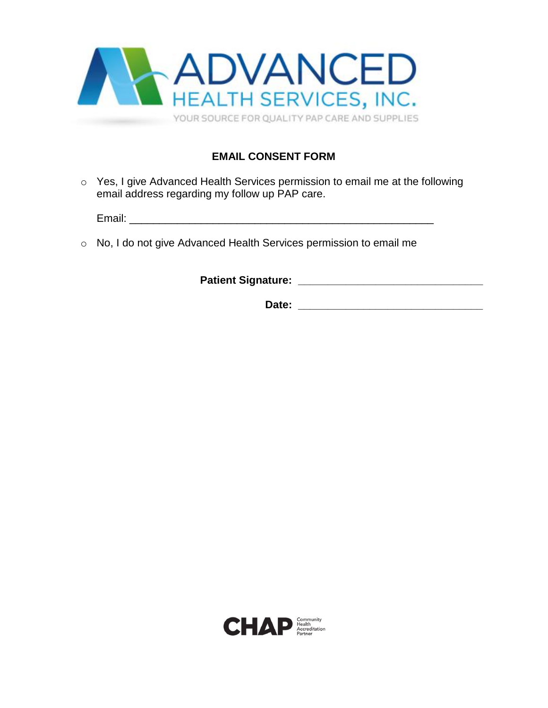

### **EMAIL CONSENT FORM**

o Yes, I give Advanced Health Services permission to email me at the following email address regarding my follow up PAP care.

Email:  $\blacksquare$ 

o No, I do not give Advanced Health Services permission to email me

**Patient Signature: \_\_\_\_\_\_\_\_\_\_\_\_\_\_\_\_\_\_\_\_\_\_\_\_\_\_\_\_\_\_\_**

**Date: \_\_\_\_\_\_\_\_\_\_\_\_\_\_\_\_\_\_\_\_\_\_\_\_\_\_\_\_\_\_\_**